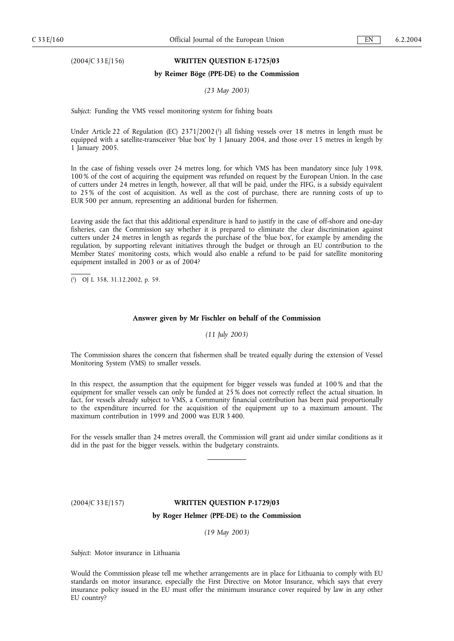# (2004/C 33 E/156) **WRITTEN QUESTION E-1725/03**

#### **by Reimer Böge (PPE-DE) to the Commission**

*(23 May 2003)*

*Subject:* Funding the VMS vessel monitoring system for fishing boats

Under Article 22 of Regulation (EC) 2371/2002 (1) all fishing vessels over 18 metres in length must be equipped with a satellite-transceiver 'blue box' by 1 January 2004, and those over 15 metres in length by 1 January 2005.

In the case of fishing vessels over 24 metres long, for which VMS has been mandatory since July 1998, 100 % of the cost of acquiring the equipment was refunded on request by the European Union. In the case of cutters under 24 metres in length, however, all that will be paid, under the FIFG, is a subsidy equivalent to 25 % of the cost of acquisition. As well as the cost of purchase, there are running costs of up to EUR 500 per annum, representing an additional burden for fishermen.

Leaving aside the fact that this additional expenditure is hard to justify in the case of off-shore and one-day fisheries, can the Commission say whether it is prepared to eliminate the clear discrimination against cutters under 24 metres in length as regards the purchase of the 'blue box', for example by amending the regulation, by supporting relevant initiatives through the budget or through an EU contribution to the Member States' monitoring costs, which would also enable a refund to be paid for satellite monitoring equipment installed in 2003 or as of 2004?

( 1) OJ L 358, 31.12.2002, p. 59.

#### **Answer given by Mr Fischler on behalf of the Commission**

*(11 July 2003)*

The Commission shares the concern that fishermen shall be treated equally during the extension of Vessel Monitoring System (VMS) to smaller vessels.

In this respect, the assumption that the equipment for bigger vessels was funded at 100 % and that the equipment for smaller vessels can only be funded at 25 % does not correctly reflect the actual situation. In fact, for vessels already subject to VMS, a Community financial contribution has been paid proportionally to the expenditure incurred for the acquisition of the equipment up to a maximum amount. The maximum contribution in 1999 and 2000 was EUR 3 400.

For the vessels smaller than 24 metres overall, the Commission will grant aid under similar conditions as it did in the past for the bigger vessels, within the budgetary constraints.

### (2004/C 33 E/157) **WRITTEN QUESTION P-1729/03**

### **by Roger Helmer (PPE-DE) to the Commission**

*(19 May 2003)*

*Subject:* Motor insurance in Lithuania

Would the Commission please tell me whether arrangements are in place for Lithuania to comply with EU standards on motor insurance, especially the First Directive on Motor Insurance, which says that every insurance policy issued in the EU must offer the minimum insurance cover required by law in any other EU country?